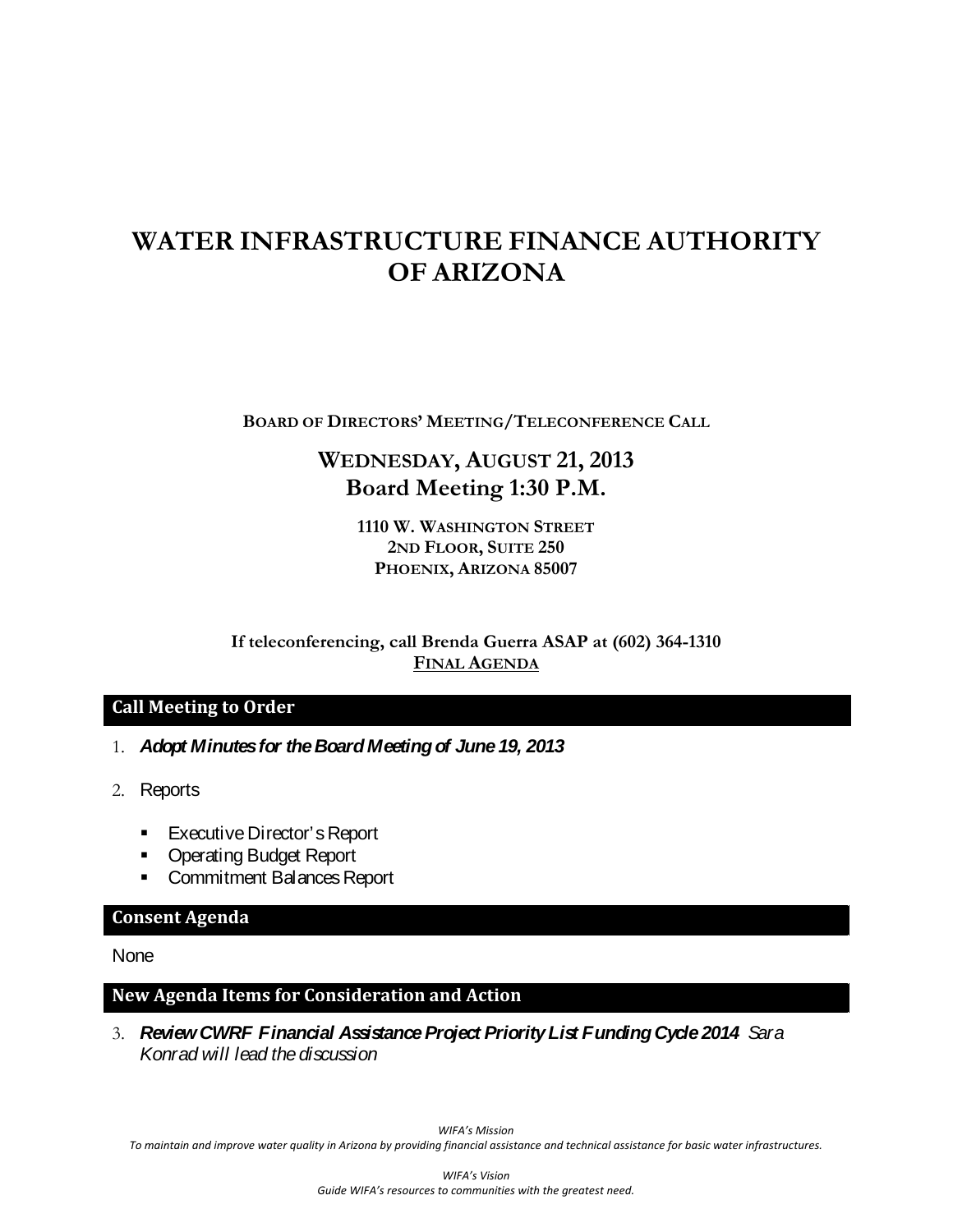# **WATER INFRASTRUCTURE FINANCE AUTHORITY OF ARIZONA**

**BOARD OF DIRECTORS' MEETING/TELECONFERENCE CALL**

# **WEDNESDAY, AUGUST 21, 2013 Board Meeting 1:30 P.M.**

**1110 W. WASHINGTON STREET 2ND FLOOR, SUITE 250 PHOENIX, ARIZONA 85007**

**If teleconferencing, call Brenda Guerra ASAP at (602) 364-1310 FINAL AGENDA**

#### **Call Meeting to Order**

- 1. *Adopt Minutes for the Board Meeting of June 19, 2013*
- 2. Reports
	- **Executive Director's Report**
	- **Operating Budget Report**
	- **Commitment Balances Report**

#### **Consent Agenda**

None

#### **New Agenda Items for Consideration and Action**

3. *Review CWRF Financial Assistance Project Priority List Funding Cycle 2014 Sara Konrad will lead the discussion*

*WIFA's Mission*

*To maintain and improve water quality in Arizona by providing financial assistance and technical assistance for basic water infrastructures.*